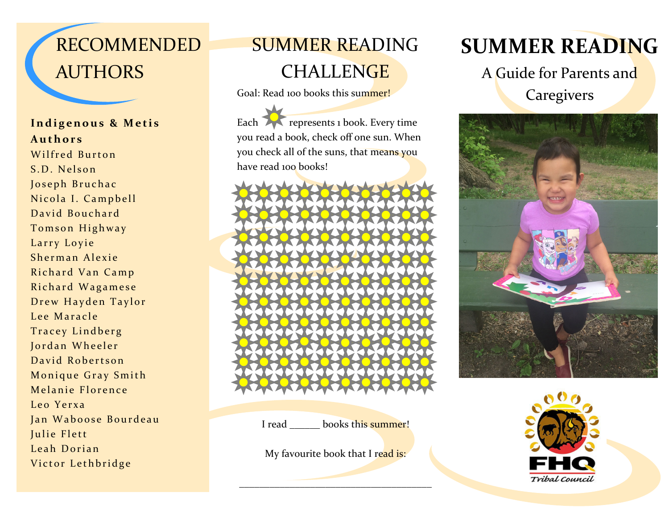# RECOMMENDED **AUTHORS**

#### **Indigenous & Metis Authors**

Wilfred Burton S.D. Nelson Joseph Bruchac Nicola I. Campbell David Bouchard Tomson Highway Larry Loyie Sherman Alexie Richard Van Camp Richard Wagamese Drew Hayden Taylor Lee Maracle Tracey Lindberg Jordan Wheeler David Robertson Monique Gray Smith Melanie Florence Leo Yerxa Jan Waboose Bourdeau Julie Flett Leah Dorian Victor Lethbridge

## SUMMER READING

## **CHALLENGE**

Goal: Read 100 books this summer!

Each **represents 1 book.** Every time you read a book, check off one sun. When you check all of the suns, that means you have read 100 books!



I read books this summer!

My favourite book that I read is:

\_\_\_\_\_\_\_\_\_\_\_\_\_\_\_\_\_\_\_\_\_\_\_\_\_\_\_\_\_\_\_\_\_\_\_\_\_\_

## **SUMMER READING**

A Guide for Parents and **Caregivers**